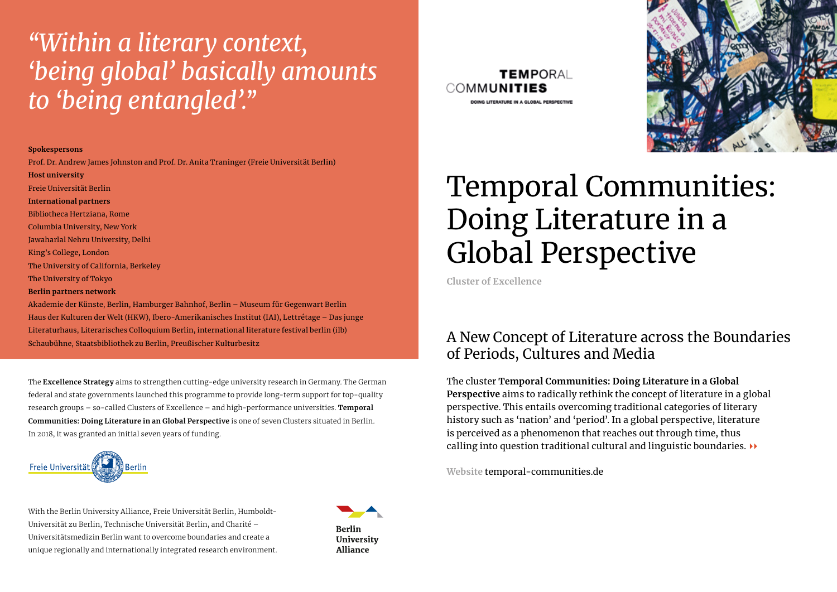### *"Within a literary context, 'being global' basically amounts to 'being entangled'."*

#### **Spokespersons**

Prof. Dr. Andrew James Johnston and Prof. Dr. Anita Traninger (Freie Universität Berlin)

**Host university** Freie Universität Berlin **International partners** Bibliotheca Hertziana, Rome Columbia University, New York Jawaharlal Nehru University, Delhi King's College, London The University of California, Berkeley The University of Tokyo **Berlin partners network**

Akademie der Künste, Berlin, Hamburger Bahnhof, Berlin – Museum für Gegenwart Berlin Haus der Kulturen der Welt (HKW), Ibero-Amerikanisches Institut (IAI), Lettrétage – Das junge Literaturhaus, Literarisches Colloquium Berlin, international literature festival berlin (ilb) Schaubühne, Staatsbibliothek zu Berlin, Preußischer Kulturbesitz

The **Excellence Strategy** aims to strengthen cutting-edge university research in Germany. The German federal and state governments launched this programme to provide long-term support for top-quality research groups – so-called Clusters of Excellence – and high-performance universities. **Temporal Communities: Doing Literature in an Global Perspective** is one of seven Clusters situated in Berlin. In 2018, it was granted an initial seven years of funding.



With the Berlin University Alliance, Freie Universität Berlin, Humboldt-Universität zu Berlin, Technische Universität Berlin, and Charité – Universitätsmedizin Berlin want to overcome boundaries and create a unique regionally and internationally integrated research environment.







# Temporal Communities: Doing Literature in a Global Perspective

**Cluster of Excellence**

#### A New Concept of Literature across the Boundaries of Periods, Cultures and Media

The cluster **Temporal Communities: Doing Literature in a Global Perspective** aims to radically rethink the concept of literature in a global perspective. This entails overcoming traditional categories of literary history such as 'nation' and 'period'. In a global perspective, literature is perceived as a phenomenon that reaches out through time, thus calling into question traditional cultural and linguistic boundaries.  $\rightarrow$ 

**Website** temporal-communities.de